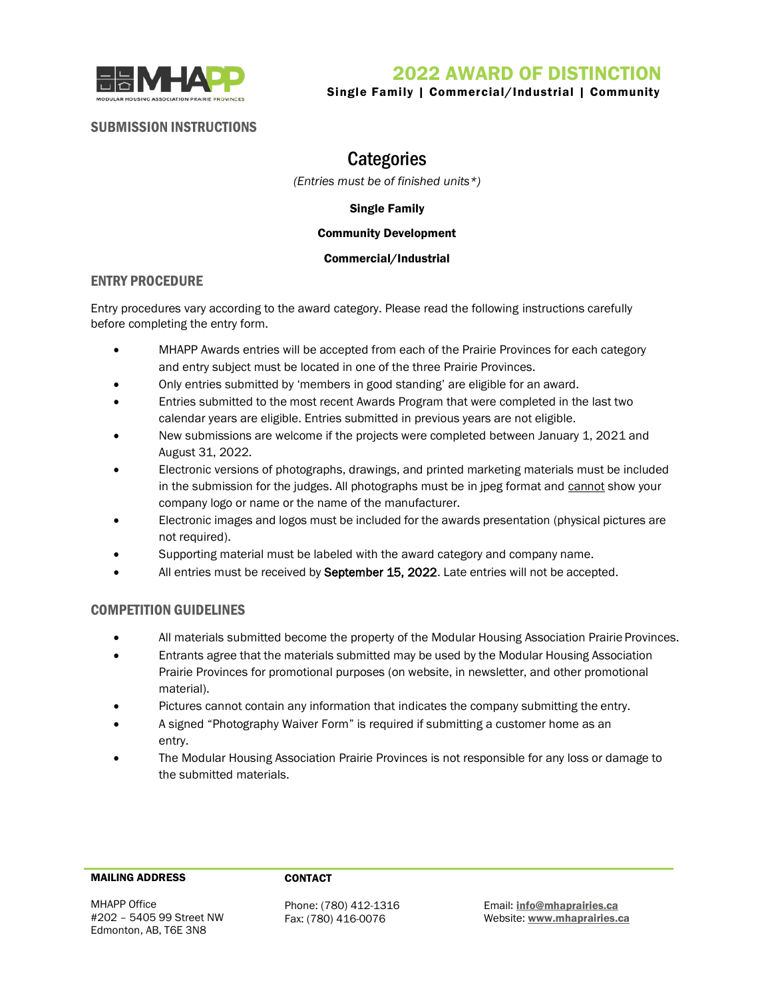



Single Family | Commercial/Industrial | Community

## SUBMISSION INSTRUCTIONS

# **Categories**

*(Entries must be of finished units\*)*

### Single Family

### Community Development

### Commercial/Industrial

## ENTRY PROCEDURE

Entry procedures vary according to the award category. Please read the following instructions carefully before completing the entry form.

- MHAPP Awards entries will be accepted from each of the Prairie Provinces for each category and entry subject must be located in one of the three Prairie Provinces.
- Only entries submitted by 'members in good standing' are eligible for an award.
- Entries submitted to the most recent Awards Program that were completed in the last two calendar years are eligible. Entries submitted in previous years are not eligible.
- New submissions are welcome if the projects were completed between January 1, 2021 and August 31, 2022.
- Electronic versions of photographs, drawings, and printed marketing materials must be included in the submission for the judges. All photographs must be in jpeg format and cannot show your company logo or name or the name of the manufacturer.
- Electronic images and logos must be included for the awards presentation (physical pictures are not required).
- Supporting material must be labeled with the award category and company name.
- All entries must be received by September 15, 2022. Late entries will not be accepted.

## COMPETITION GUIDELINES

- All materials submitted become the property of the Modular Housing Association Prairie Provinces.
- Entrants agree that the materials submitted may be used by the Modular Housing Association Prairie Provinces for promotional purposes (on website, in newsletter, and other promotional material).
- Pictures cannot contain any information that indicates the company submitting the entry.
- A signed "Photography Waiver Form" is required if submitting a customer home as an entry.
- The Modular Housing Association Prairie Provinces is not responsible for any loss or damage to the submitted materials.

### MAILING ADDRESS CONTACT

MHAPP Office #202 – 5405 99 Street NW Edmonton, AB, T6E 3N8

Phone: (780) 412-1316 Fax: (780) 416-0076

Email[: info@mhaprairies.ca](mailto:info@mhaprairies.ca) Website: [www.mhaprairies.ca](http://www.mhaprairies.ca/)